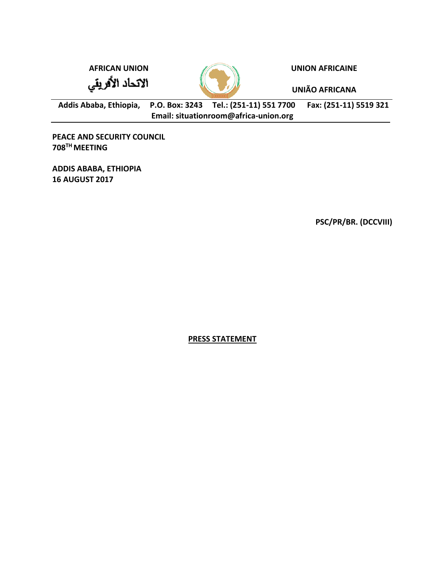الاتحاد الأفريقي



**AFRICAN UNION UNION AFRICAINE**

**UNIÃO AFRICANA**

**Addis Ababa, Ethiopia, P.O. Box: 3243 Tel.: (251-11) 551 7700 Fax: (251-11) 5519 321 Email: situationroom@africa-union.org**

**PEACE AND SECURITY COUNCIL 708TH MEETING** 

**ADDIS ABABA, ETHIOPIA 16 AUGUST 2017**

**PSC/PR/BR. (DCCVIII)** 

**PRESS STATEMENT**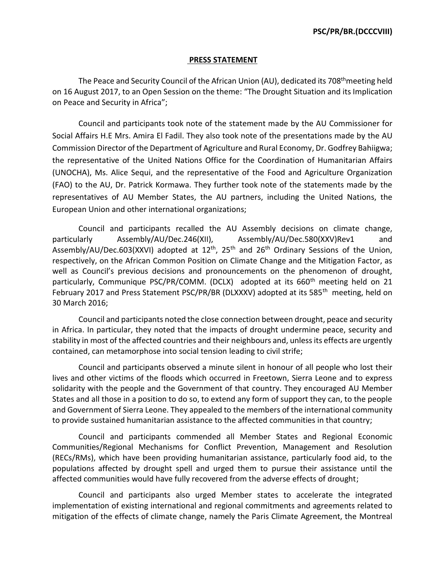## **PRESS STATEMENT**

The Peace and Security Council of the African Union (AU), dedicated its 708<sup>th</sup>meeting held on 16 August 2017, to an Open Session on the theme: "The Drought Situation and its Implication on Peace and Security in Africa";

Council and participants took note of the statement made by the AU Commissioner for Social Affairs H.E Mrs. Amira El Fadil. They also took note of the presentations made by the AU Commission Director of the Department of Agriculture and Rural Economy, Dr. Godfrey Bahiigwa; the representative of the United Nations Office for the Coordination of Humanitarian Affairs (UNOCHA), Ms. Alice Sequi, and the representative of the Food and Agriculture Organization (FAO) to the AU, Dr. Patrick Kormawa. They further took note of the statements made by the representatives of AU Member States, the AU partners, including the United Nations, the European Union and other international organizations;

Council and participants recalled the AU Assembly decisions on climate change, particularly Assembly/AU/Dec.246(XII), Assembly/AU/Dec.580(XXV)Rev1 and Assembly/AU/Dec.603(XXVI) adopted at 12<sup>th</sup>, 25<sup>th</sup> and 26<sup>th</sup> Ordinary Sessions of the Union, respectively, on the African Common Position on Climate Change and the Mitigation Factor, as well as Council's previous decisions and pronouncements on the phenomenon of drought, particularly, Communique PSC/PR/COMM. (DCLX) adopted at its 660<sup>th</sup> meeting held on 21 February 2017 and Press Statement PSC/PR/BR (DLXXXV) adopted at its 585<sup>th</sup> meeting, held on 30 March 2016;

Council and participants noted the close connection between drought, peace and security in Africa. In particular, they noted that the impacts of drought undermine peace, security and stability in most of the affected countries and their neighbours and, unless its effects are urgently contained, can metamorphose into social tension leading to civil strife;

Council and participants observed a minute silent in honour of all people who lost their lives and other victims of the floods which occurred in Freetown, Sierra Leone and to express solidarity with the people and the Government of that country. They encouraged AU Member States and all those in a position to do so, to extend any form of support they can, to the people and Government of Sierra Leone. They appealed to the members of the international community to provide sustained humanitarian assistance to the affected communities in that country;

Council and participants commended all Member States and Regional Economic Communities/Regional Mechanisms for Conflict Prevention, Management and Resolution (RECs/RMs), which have been providing humanitarian assistance, particularly food aid, to the populations affected by drought spell and urged them to pursue their assistance until the affected communities would have fully recovered from the adverse effects of drought;

Council and participants also urged Member states to accelerate the integrated implementation of existing international and regional commitments and agreements related to mitigation of the effects of climate change, namely the Paris Climate Agreement, the Montreal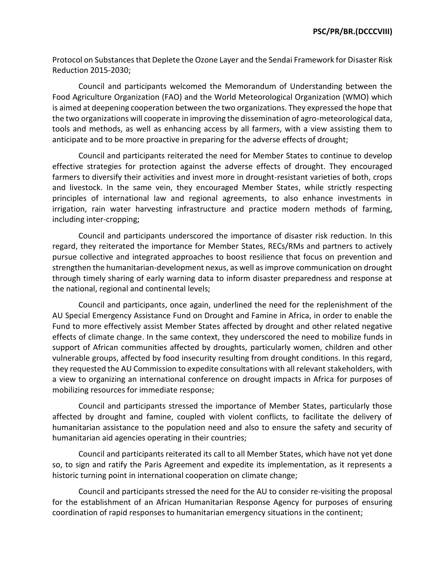Protocol on Substances that Deplete the Ozone Layer and the Sendai Framework for Disaster Risk Reduction 2015-2030;

Council and participants welcomed the Memorandum of Understanding between the Food Agriculture Organization (FAO) and the World Meteorological Organization (WMO) which is aimed at deepening cooperation between the two organizations. They expressed the hope that the two organizations will cooperate in improving the dissemination of agro-meteorological data, tools and methods, as well as enhancing access by all farmers, with a view assisting them to anticipate and to be more proactive in preparing for the adverse effects of drought;

Council and participants reiterated the need for Member States to continue to develop effective strategies for protection against the adverse effects of drought. They encouraged farmers to diversify their activities and invest more in drought-resistant varieties of both, crops and livestock. In the same vein, they encouraged Member States, while strictly respecting principles of international law and regional agreements, to also enhance investments in irrigation, rain water harvesting infrastructure and practice modern methods of farming, including inter-cropping;

Council and participants underscored the importance of disaster risk reduction. In this regard, they reiterated the importance for Member States, RECs/RMs and partners to actively pursue collective and integrated approaches to boost resilience that focus on prevention and strengthen the humanitarian-development nexus, as well as improve communication on drought through timely sharing of early warning data to inform disaster preparedness and response at the national, regional and continental levels;

Council and participants, once again, underlined the need for the replenishment of the AU Special Emergency Assistance Fund on Drought and Famine in Africa, in order to enable the Fund to more effectively assist Member States affected by drought and other related negative effects of climate change. In the same context, they underscored the need to mobilize funds in support of African communities affected by droughts, particularly women, children and other vulnerable groups, affected by food insecurity resulting from drought conditions. In this regard, they requested the AU Commission to expedite consultations with all relevant stakeholders, with a view to organizing an international conference on drought impacts in Africa for purposes of mobilizing resources for immediate response;

Council and participants stressed the importance of Member States, particularly those affected by drought and famine, coupled with violent conflicts, to facilitate the delivery of humanitarian assistance to the population need and also to ensure the safety and security of humanitarian aid agencies operating in their countries;

Council and participants reiterated its call to all Member States, which have not yet done so, to sign and ratify the Paris Agreement and expedite its implementation, as it represents a historic turning point in international cooperation on climate change;

Council and participants stressed the need for the AU to consider re-visiting the proposal for the establishment of an African Humanitarian Response Agency for purposes of ensuring coordination of rapid responses to humanitarian emergency situations in the continent;